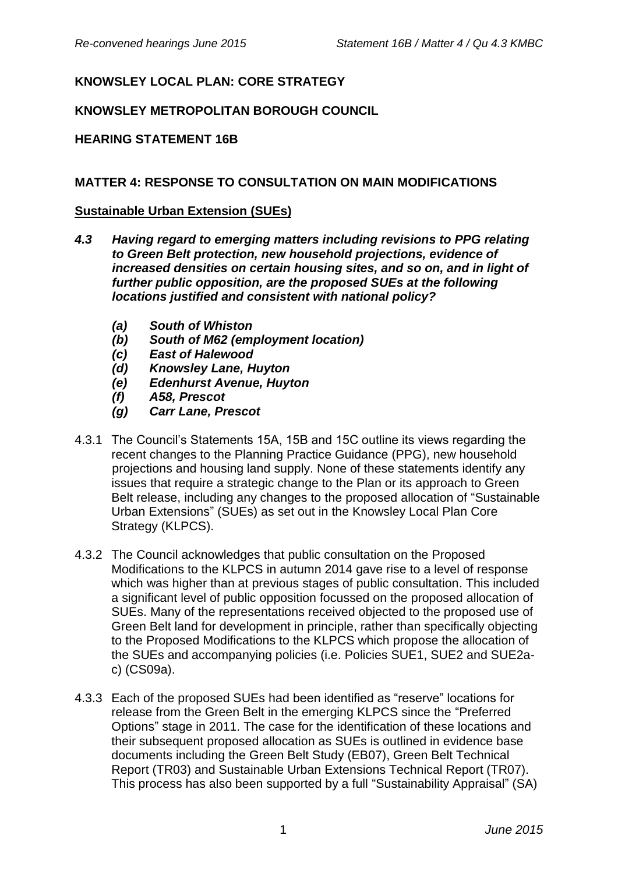# **KNOWSLEY LOCAL PLAN: CORE STRATEGY**

## **KNOWSLEY METROPOLITAN BOROUGH COUNCIL**

## **HEARING STATEMENT 16B**

### **MATTER 4: RESPONSE TO CONSULTATION ON MAIN MODIFICATIONS**

#### **Sustainable Urban Extension (SUEs)**

- *4.3 Having regard to emerging matters including revisions to PPG relating to Green Belt protection, new household projections, evidence of increased densities on certain housing sites, and so on, and in light of further public opposition, are the proposed SUEs at the following locations justified and consistent with national policy?*
	- *(a) South of Whiston*
	- *(b) South of M62 (employment location)*
	- *(c) East of Halewood*
	- *(d) Knowsley Lane, Huyton*
	- *(e) Edenhurst Avenue, Huyton*
	- *(f) A58, Prescot*
	- *(g) Carr Lane, Prescot*
- 4.3.1 The Council's Statements 15A, 15B and 15C outline its views regarding the recent changes to the Planning Practice Guidance (PPG), new household projections and housing land supply. None of these statements identify any issues that require a strategic change to the Plan or its approach to Green Belt release, including any changes to the proposed allocation of "Sustainable Urban Extensions" (SUEs) as set out in the Knowsley Local Plan Core Strategy (KLPCS).
- 4.3.2 The Council acknowledges that public consultation on the Proposed Modifications to the KLPCS in autumn 2014 gave rise to a level of response which was higher than at previous stages of public consultation. This included a significant level of public opposition focussed on the proposed allocation of SUEs. Many of the representations received objected to the proposed use of Green Belt land for development in principle, rather than specifically objecting to the Proposed Modifications to the KLPCS which propose the allocation of the SUEs and accompanying policies (i.e. Policies SUE1, SUE2 and SUE2ac) (CS09a).
- 4.3.3 Each of the proposed SUEs had been identified as "reserve" locations for release from the Green Belt in the emerging KLPCS since the "Preferred Options" stage in 2011. The case for the identification of these locations and their subsequent proposed allocation as SUEs is outlined in evidence base documents including the Green Belt Study (EB07), Green Belt Technical Report (TR03) and Sustainable Urban Extensions Technical Report (TR07). This process has also been supported by a full "Sustainability Appraisal" (SA)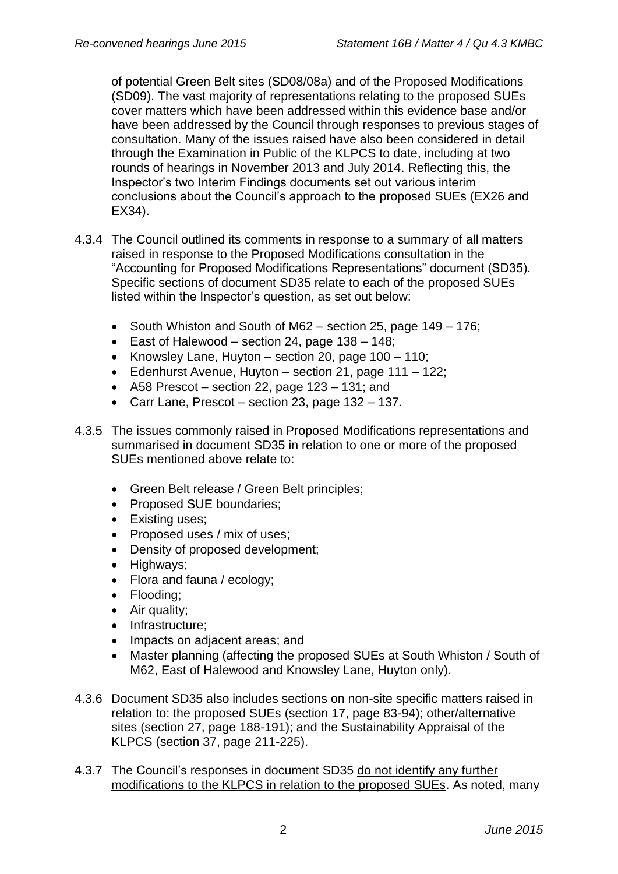of potential Green Belt sites (SD08/08a) and of the Proposed Modifications (SD09). The vast majority of representations relating to the proposed SUEs cover matters which have been addressed within this evidence base and/or have been addressed by the Council through responses to previous stages of consultation. Many of the issues raised have also been considered in detail through the Examination in Public of the KLPCS to date, including at two rounds of hearings in November 2013 and July 2014. Reflecting this, the Inspector's two Interim Findings documents set out various interim conclusions about the Council's approach to the proposed SUEs (EX26 and EX34).

- 4.3.4 The Council outlined its comments in response to a summary of all matters raised in response to the Proposed Modifications consultation in the "Accounting for Proposed Modifications Representations" document (SD35). Specific sections of document SD35 relate to each of the proposed SUEs listed within the Inspector's question, as set out below:
	- South Whiston and South of M62 section 25, page  $149 176$ ;
	- East of Halewood section 24, page  $138 148$ ;
	- Knowsley Lane, Huyton section 20, page  $100 110$ ;
	- Edenhurst Avenue, Huyton section 21, page 111 122;
	- A58 Prescot section 22, page 123 131; and
	- Carr Lane, Prescot section 23, page 132 137.
- 4.3.5 The issues commonly raised in Proposed Modifications representations and summarised in document SD35 in relation to one or more of the proposed SUEs mentioned above relate to:
	- Green Belt release / Green Belt principles;
	- Proposed SUE boundaries:
	- Existing uses;
	- Proposed uses / mix of uses;
	- Density of proposed development;
	- Highways;
	- Flora and fauna / ecology;
	- Flooding;
	- Air quality;
	- Infrastructure;
	- Impacts on adjacent areas; and
	- Master planning (affecting the proposed SUEs at South Whiston / South of M62, East of Halewood and Knowsley Lane, Huyton only).
- 4.3.6 Document SD35 also includes sections on non-site specific matters raised in relation to: the proposed SUEs (section 17, page 83-94); other/alternative sites (section 27, page 188-191); and the Sustainability Appraisal of the KLPCS (section 37, page 211-225).
- 4.3.7 The Council's responses in document SD35 do not identify any further modifications to the KLPCS in relation to the proposed SUEs. As noted, many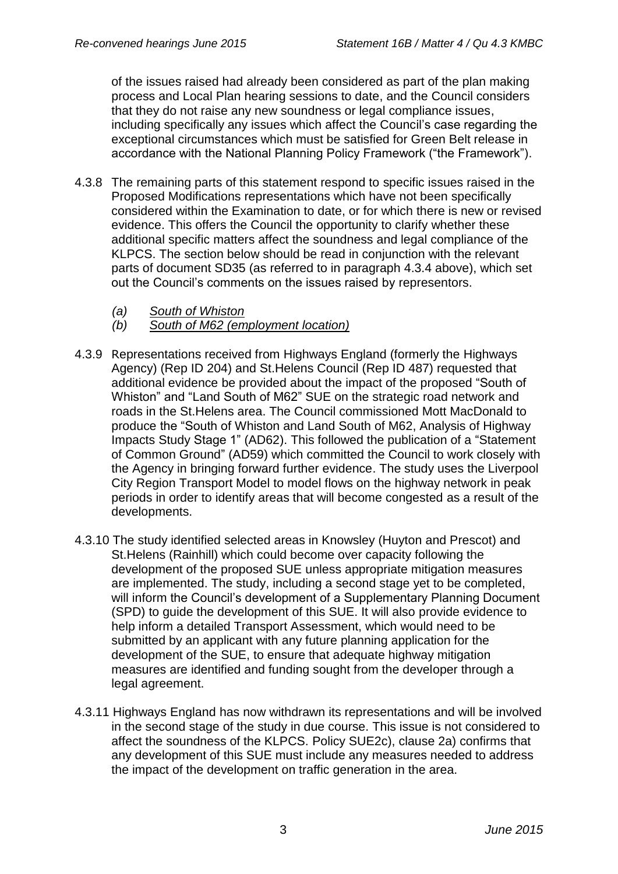of the issues raised had already been considered as part of the plan making process and Local Plan hearing sessions to date, and the Council considers that they do not raise any new soundness or legal compliance issues, including specifically any issues which affect the Council's case regarding the exceptional circumstances which must be satisfied for Green Belt release in accordance with the National Planning Policy Framework ("the Framework").

- 4.3.8 The remaining parts of this statement respond to specific issues raised in the Proposed Modifications representations which have not been specifically considered within the Examination to date, or for which there is new or revised evidence. This offers the Council the opportunity to clarify whether these additional specific matters affect the soundness and legal compliance of the KLPCS. The section below should be read in conjunction with the relevant parts of document SD35 (as referred to in paragraph 4.3.4 above), which set out the Council's comments on the issues raised by representors.
	- *(a) South of Whiston*
	- *(b) South of M62 (employment location)*
- 4.3.9 Representations received from Highways England (formerly the Highways Agency) (Rep ID 204) and St.Helens Council (Rep ID 487) requested that additional evidence be provided about the impact of the proposed "South of Whiston" and "Land South of M62" SUE on the strategic road network and roads in the St.Helens area. The Council commissioned Mott MacDonald to produce the "South of Whiston and Land South of M62, Analysis of Highway Impacts Study Stage 1" (AD62). This followed the publication of a "Statement of Common Ground" (AD59) which committed the Council to work closely with the Agency in bringing forward further evidence. The study uses the Liverpool City Region Transport Model to model flows on the highway network in peak periods in order to identify areas that will become congested as a result of the developments.
- 4.3.10 The study identified selected areas in Knowsley (Huyton and Prescot) and St.Helens (Rainhill) which could become over capacity following the development of the proposed SUE unless appropriate mitigation measures are implemented. The study, including a second stage yet to be completed, will inform the Council's development of a Supplementary Planning Document (SPD) to guide the development of this SUE. It will also provide evidence to help inform a detailed Transport Assessment, which would need to be submitted by an applicant with any future planning application for the development of the SUE, to ensure that adequate highway mitigation measures are identified and funding sought from the developer through a legal agreement.
- 4.3.11 Highways England has now withdrawn its representations and will be involved in the second stage of the study in due course. This issue is not considered to affect the soundness of the KLPCS. Policy SUE2c), clause 2a) confirms that any development of this SUE must include any measures needed to address the impact of the development on traffic generation in the area.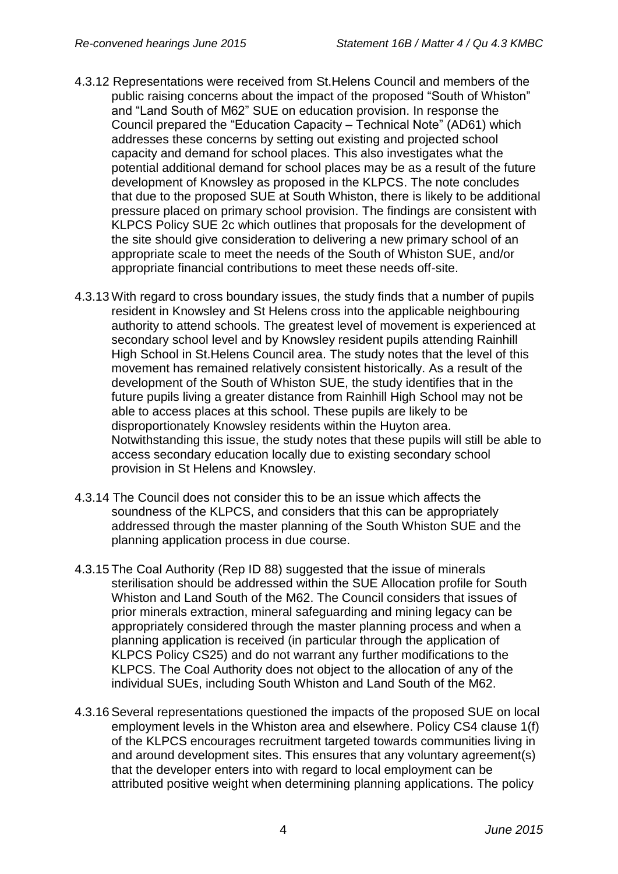- 4.3.12 Representations were received from St.Helens Council and members of the public raising concerns about the impact of the proposed "South of Whiston" and "Land South of M62" SUE on education provision. In response the Council prepared the "Education Capacity – Technical Note" (AD61) which addresses these concerns by setting out existing and projected school capacity and demand for school places. This also investigates what the potential additional demand for school places may be as a result of the future development of Knowsley as proposed in the KLPCS. The note concludes that due to the proposed SUE at South Whiston, there is likely to be additional pressure placed on primary school provision. The findings are consistent with KLPCS Policy SUE 2c which outlines that proposals for the development of the site should give consideration to delivering a new primary school of an appropriate scale to meet the needs of the South of Whiston SUE, and/or appropriate financial contributions to meet these needs off-site.
- 4.3.13 With regard to cross boundary issues, the study finds that a number of pupils resident in Knowsley and St Helens cross into the applicable neighbouring authority to attend schools. The greatest level of movement is experienced at secondary school level and by Knowsley resident pupils attending Rainhill High School in St.Helens Council area. The study notes that the level of this movement has remained relatively consistent historically. As a result of the development of the South of Whiston SUE, the study identifies that in the future pupils living a greater distance from Rainhill High School may not be able to access places at this school. These pupils are likely to be disproportionately Knowsley residents within the Huyton area. Notwithstanding this issue, the study notes that these pupils will still be able to access secondary education locally due to existing secondary school provision in St Helens and Knowsley.
- 4.3.14 The Council does not consider this to be an issue which affects the soundness of the KLPCS, and considers that this can be appropriately addressed through the master planning of the South Whiston SUE and the planning application process in due course.
- 4.3.15 The Coal Authority (Rep ID 88) suggested that the issue of minerals sterilisation should be addressed within the SUE Allocation profile for South Whiston and Land South of the M62. The Council considers that issues of prior minerals extraction, mineral safeguarding and mining legacy can be appropriately considered through the master planning process and when a planning application is received (in particular through the application of KLPCS Policy CS25) and do not warrant any further modifications to the KLPCS. The Coal Authority does not object to the allocation of any of the individual SUEs, including South Whiston and Land South of the M62.
- 4.3.16Several representations questioned the impacts of the proposed SUE on local employment levels in the Whiston area and elsewhere. Policy CS4 clause 1(f) of the KLPCS encourages recruitment targeted towards communities living in and around development sites. This ensures that any voluntary agreement(s) that the developer enters into with regard to local employment can be attributed positive weight when determining planning applications. The policy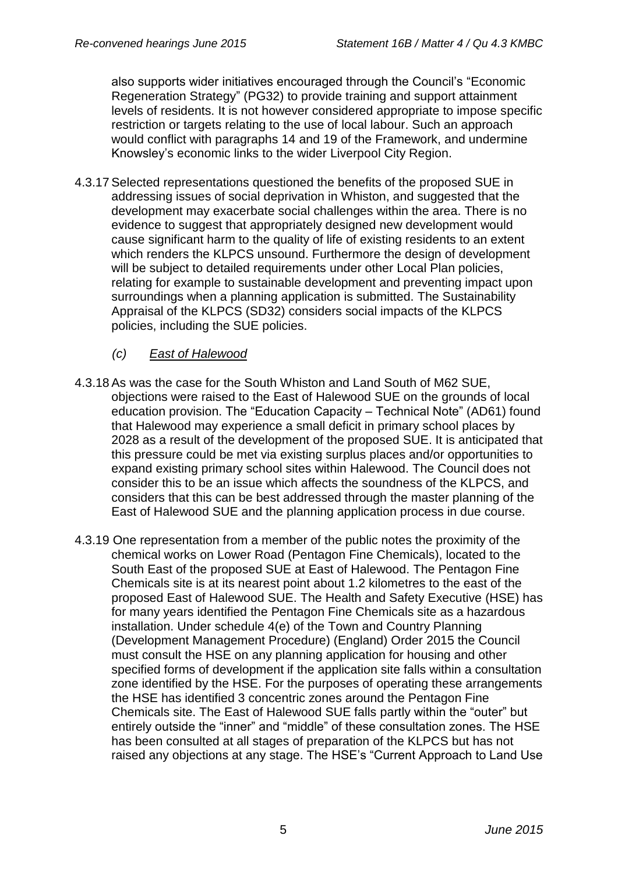also supports wider initiatives encouraged through the Council's "Economic Regeneration Strategy" (PG32) to provide training and support attainment levels of residents. It is not however considered appropriate to impose specific restriction or targets relating to the use of local labour. Such an approach would conflict with paragraphs 14 and 19 of the Framework, and undermine Knowsley's economic links to the wider Liverpool City Region.

4.3.17Selected representations questioned the benefits of the proposed SUE in addressing issues of social deprivation in Whiston, and suggested that the development may exacerbate social challenges within the area. There is no evidence to suggest that appropriately designed new development would cause significant harm to the quality of life of existing residents to an extent which renders the KLPCS unsound. Furthermore the design of development will be subject to detailed requirements under other Local Plan policies, relating for example to sustainable development and preventing impact upon surroundings when a planning application is submitted. The Sustainability Appraisal of the KLPCS (SD32) considers social impacts of the KLPCS policies, including the SUE policies.

## *(c) East of Halewood*

- 4.3.18As was the case for the South Whiston and Land South of M62 SUE, objections were raised to the East of Halewood SUE on the grounds of local education provision. The "Education Capacity – Technical Note" (AD61) found that Halewood may experience a small deficit in primary school places by 2028 as a result of the development of the proposed SUE. It is anticipated that this pressure could be met via existing surplus places and/or opportunities to expand existing primary school sites within Halewood. The Council does not consider this to be an issue which affects the soundness of the KLPCS, and considers that this can be best addressed through the master planning of the East of Halewood SUE and the planning application process in due course.
- 4.3.19 One representation from a member of the public notes the proximity of the chemical works on Lower Road (Pentagon Fine Chemicals), located to the South East of the proposed SUE at East of Halewood. The Pentagon Fine Chemicals site is at its nearest point about 1.2 kilometres to the east of the proposed East of Halewood SUE. The Health and Safety Executive (HSE) has for many years identified the Pentagon Fine Chemicals site as a hazardous installation. Under schedule 4(e) of the Town and Country Planning (Development Management Procedure) (England) Order 2015 the Council must consult the HSE on any planning application for housing and other specified forms of development if the application site falls within a consultation zone identified by the HSE. For the purposes of operating these arrangements the HSE has identified 3 concentric zones around the Pentagon Fine Chemicals site. The East of Halewood SUE falls partly within the "outer" but entirely outside the "inner" and "middle" of these consultation zones. The HSE has been consulted at all stages of preparation of the KLPCS but has not raised any objections at any stage. The HSE's "Current Approach to Land Use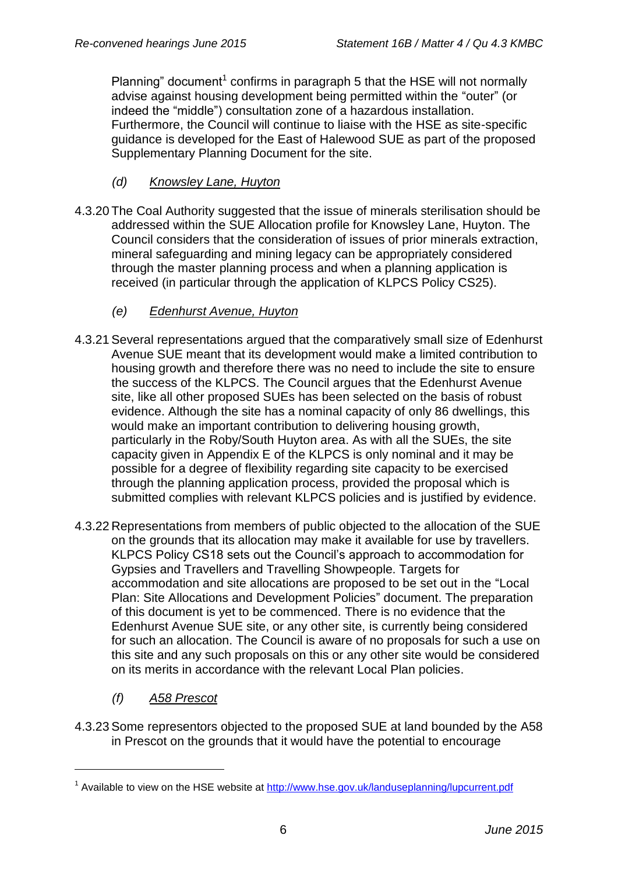Planning" document<sup>1</sup> confirms in paragraph 5 that the HSE will not normally advise against housing development being permitted within the "outer" (or indeed the "middle") consultation zone of a hazardous installation. Furthermore, the Council will continue to liaise with the HSE as site-specific guidance is developed for the East of Halewood SUE as part of the proposed Supplementary Planning Document for the site.

- *(d) Knowsley Lane, Huyton*
- 4.3.20 The Coal Authority suggested that the issue of minerals sterilisation should be addressed within the SUE Allocation profile for Knowsley Lane, Huyton. The Council considers that the consideration of issues of prior minerals extraction, mineral safeguarding and mining legacy can be appropriately considered through the master planning process and when a planning application is received (in particular through the application of KLPCS Policy CS25).
	- *(e) Edenhurst Avenue, Huyton*
- 4.3.21Several representations argued that the comparatively small size of Edenhurst Avenue SUE meant that its development would make a limited contribution to housing growth and therefore there was no need to include the site to ensure the success of the KLPCS. The Council argues that the Edenhurst Avenue site, like all other proposed SUEs has been selected on the basis of robust evidence. Although the site has a nominal capacity of only 86 dwellings, this would make an important contribution to delivering housing growth, particularly in the Roby/South Huyton area. As with all the SUEs, the site capacity given in Appendix E of the KLPCS is only nominal and it may be possible for a degree of flexibility regarding site capacity to be exercised through the planning application process, provided the proposal which is submitted complies with relevant KLPCS policies and is justified by evidence.
- 4.3.22 Representations from members of public objected to the allocation of the SUE on the grounds that its allocation may make it available for use by travellers. KLPCS Policy CS18 sets out the Council's approach to accommodation for Gypsies and Travellers and Travelling Showpeople. Targets for accommodation and site allocations are proposed to be set out in the "Local Plan: Site Allocations and Development Policies" document. The preparation of this document is yet to be commenced. There is no evidence that the Edenhurst Avenue SUE site, or any other site, is currently being considered for such an allocation. The Council is aware of no proposals for such a use on this site and any such proposals on this or any other site would be considered on its merits in accordance with the relevant Local Plan policies.
	- *(f) A58 Prescot*

1

4.3.23Some representors objected to the proposed SUE at land bounded by the A58 in Prescot on the grounds that it would have the potential to encourage

<sup>&</sup>lt;sup>1</sup> Available to view on the HSE website at <http://www.hse.gov.uk/landuseplanning/lupcurrent.pdf>